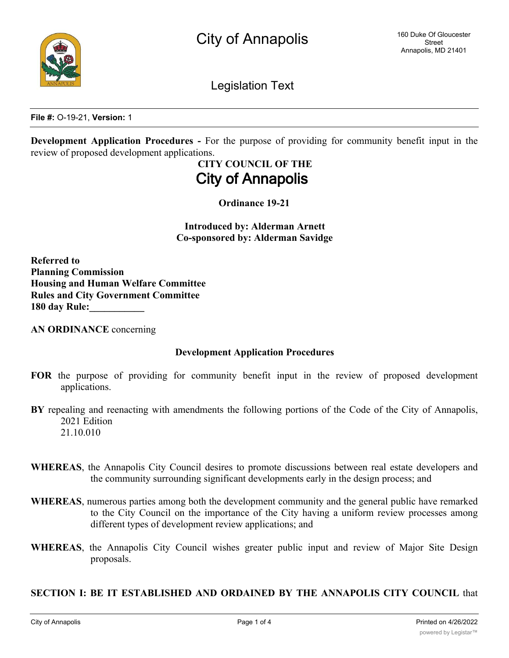

Legislation Text

**File #:** O-19-21, **Version:** 1

**Development Application Procedures -** For the purpose of providing for community benefit input in the review of proposed development applications.

## **CITY COUNCIL OF THE City of Annapolis**

**Ordinance 19-21**

**Introduced by: Alderman Arnett Co-sponsored by: Alderman Savidge**

**Referred to Planning Commission Housing and Human Welfare Committee Rules and City Government Committee 180 day Rule:\_\_\_\_\_\_\_\_\_\_\_**

**AN ORDINANCE** concerning

#### **Development Application Procedures**

- **FOR** the purpose of providing for community benefit input in the review of proposed development applications.
- **BY** repealing and reenacting with amendments the following portions of the Code of the City of Annapolis, 2021 Edition 21.10.010
- **WHEREAS**, the Annapolis City Council desires to promote discussions between real estate developers and the community surrounding significant developments early in the design process; and
- **WHEREAS**, numerous parties among both the development community and the general public have remarked to the City Council on the importance of the City having a uniform review processes among different types of development review applications; and
- **WHEREAS**, the Annapolis City Council wishes greater public input and review of Major Site Design proposals.

#### **SECTION I: BE IT ESTABLISHED AND ORDAINED BY THE ANNAPOLIS CITY COUNCIL** that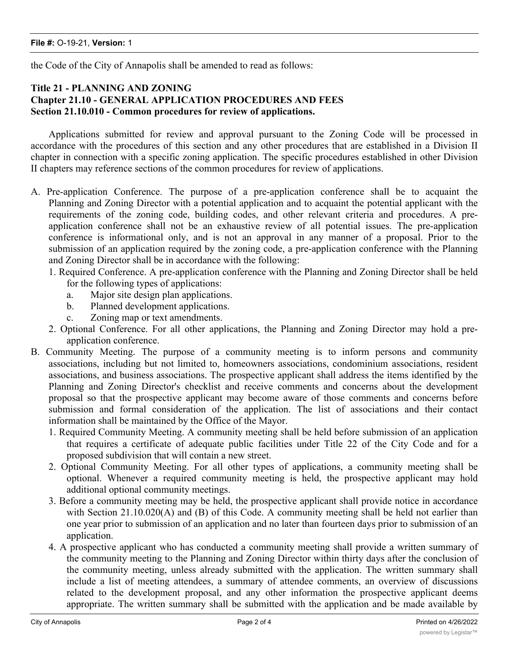the Code of the City of Annapolis shall be amended to read as follows:

#### **Title 21 - PLANNING AND ZONING Chapter 21.10 - GENERAL APPLICATION PROCEDURES AND FEES Section 21.10.010 - Common procedures for review of applications.**

Applications submitted for review and approval pursuant to the Zoning Code will be processed in accordance with the procedures of this section and any other procedures that are established in a Division II chapter in connection with a specific zoning application. The specific procedures established in other Division II chapters may reference sections of the common procedures for review of applications.

- A. Pre-application Conference. The purpose of a pre-application conference shall be to acquaint the Planning and Zoning Director with a potential application and to acquaint the potential applicant with the requirements of the zoning code, building codes, and other relevant criteria and procedures. A preapplication conference shall not be an exhaustive review of all potential issues. The pre-application conference is informational only, and is not an approval in any manner of a proposal. Prior to the submission of an application required by the zoning code, a pre-application conference with the Planning and Zoning Director shall be in accordance with the following:
	- 1. Required Conference. A pre-application conference with the Planning and Zoning Director shall be held for the following types of applications:
		- a. Major site design plan applications.
		- b. Planned development applications.
		- c. Zoning map or text amendments.
	- 2. Optional Conference. For all other applications, the Planning and Zoning Director may hold a preapplication conference.
- B. Community Meeting. The purpose of a community meeting is to inform persons and community associations, including but not limited to, homeowners associations, condominium associations, resident associations, and business associations. The prospective applicant shall address the items identified by the Planning and Zoning Director's checklist and receive comments and concerns about the development proposal so that the prospective applicant may become aware of those comments and concerns before submission and formal consideration of the application. The list of associations and their contact information shall be maintained by the Office of the Mayor.
	- 1. Required Community Meeting. A community meeting shall be held before submission of an application that requires a certificate of adequate public facilities under Title 22 of the City Code and for a proposed subdivision that will contain a new street.
	- 2. Optional Community Meeting. For all other types of applications, a community meeting shall be optional. Whenever a required community meeting is held, the prospective applicant may hold additional optional community meetings.
	- 3. Before a community meeting may be held, the prospective applicant shall provide notice in accordance with Section 21.10.020(A) and (B) of this Code. A community meeting shall be held not earlier than one year prior to submission of an application and no later than fourteen days prior to submission of an application.
	- 4. A prospective applicant who has conducted a community meeting shall provide a written summary of the community meeting to the Planning and Zoning Director within thirty days after the conclusion of the community meeting, unless already submitted with the application. The written summary shall include a list of meeting attendees, a summary of attendee comments, an overview of discussions related to the development proposal, and any other information the prospective applicant deems appropriate. The written summary shall be submitted with the application and be made available by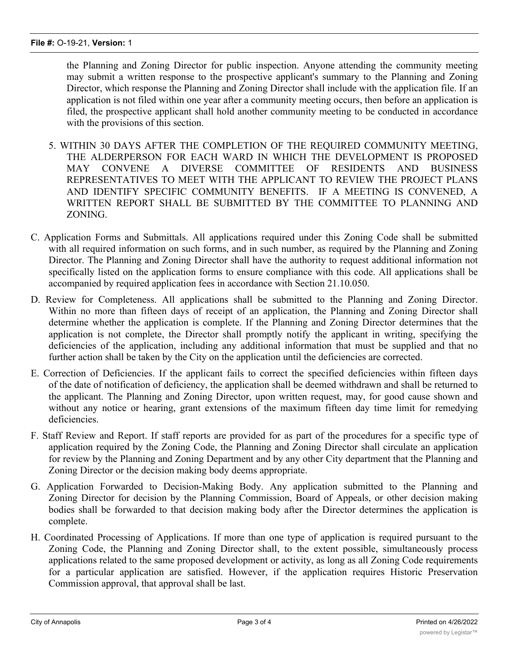the Planning and Zoning Director for public inspection. Anyone attending the community meeting may submit a written response to the prospective applicant's summary to the Planning and Zoning Director, which response the Planning and Zoning Director shall include with the application file. If an application is not filed within one year after a community meeting occurs, then before an application is filed, the prospective applicant shall hold another community meeting to be conducted in accordance with the provisions of this section.

- 5. WITHIN 30 DAYS AFTER THE COMPLETION OF THE REQUIRED COMMUNITY MEETING, THE ALDERPERSON FOR EACH WARD IN WHICH THE DEVELOPMENT IS PROPOSED MAY CONVENE A DIVERSE COMMITTEE OF RESIDENTS AND BUSINESS REPRESENTATIVES TO MEET WITH THE APPLICANT TO REVIEW THE PROJECT PLANS AND IDENTIFY SPECIFIC COMMUNITY BENEFITS. IF A MEETING IS CONVENED, A WRITTEN REPORT SHALL BE SUBMITTED BY THE COMMITTEE TO PLANNING AND ZONING.
- C. Application Forms and Submittals. All applications required under this Zoning Code shall be submitted with all required information on such forms, and in such number, as required by the Planning and Zoning Director. The Planning and Zoning Director shall have the authority to request additional information not specifically listed on the application forms to ensure compliance with this code. All applications shall be accompanied by required application fees in accordance with Section 21.10.050.
- D. Review for Completeness. All applications shall be submitted to the Planning and Zoning Director. Within no more than fifteen days of receipt of an application, the Planning and Zoning Director shall determine whether the application is complete. If the Planning and Zoning Director determines that the application is not complete, the Director shall promptly notify the applicant in writing, specifying the deficiencies of the application, including any additional information that must be supplied and that no further action shall be taken by the City on the application until the deficiencies are corrected.
- E. Correction of Deficiencies. If the applicant fails to correct the specified deficiencies within fifteen days of the date of notification of deficiency, the application shall be deemed withdrawn and shall be returned to the applicant. The Planning and Zoning Director, upon written request, may, for good cause shown and without any notice or hearing, grant extensions of the maximum fifteen day time limit for remedying deficiencies.
- F. Staff Review and Report. If staff reports are provided for as part of the procedures for a specific type of application required by the Zoning Code, the Planning and Zoning Director shall circulate an application for review by the Planning and Zoning Department and by any other City department that the Planning and Zoning Director or the decision making body deems appropriate.
- G. Application Forwarded to Decision-Making Body. Any application submitted to the Planning and Zoning Director for decision by the Planning Commission, Board of Appeals, or other decision making bodies shall be forwarded to that decision making body after the Director determines the application is complete.
- H. Coordinated Processing of Applications. If more than one type of application is required pursuant to the Zoning Code, the Planning and Zoning Director shall, to the extent possible, simultaneously process applications related to the same proposed development or activity, as long as all Zoning Code requirements for a particular application are satisfied. However, if the application requires Historic Preservation Commission approval, that approval shall be last.